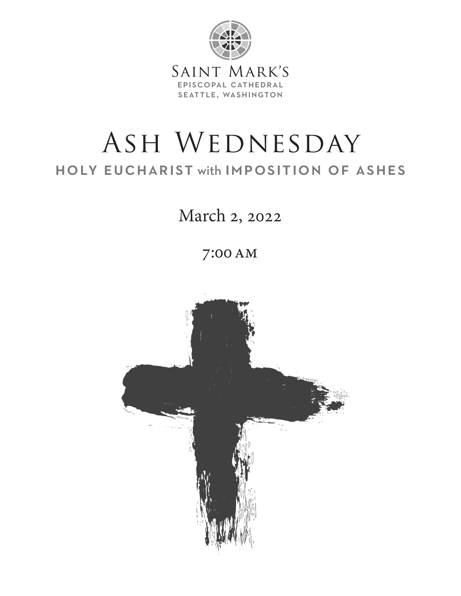

# ASH WEDNESDAY holy eucharist with imposition of ashes

March 2, 2022

7:00 AM

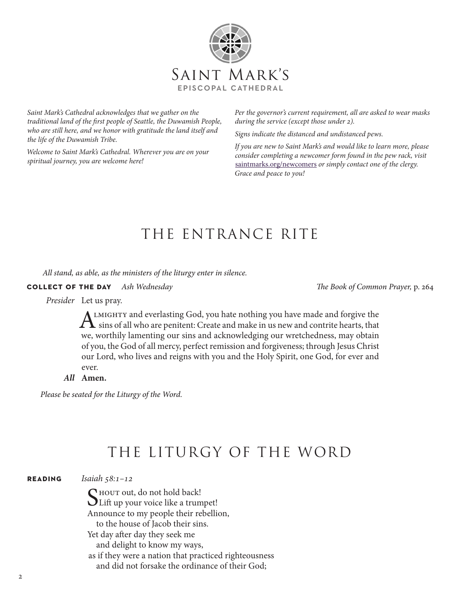

*Saint Mark's Cathedral acknowledges that we gather on the traditional land of the first people of Seattle, the Duwamish People, who are still here, and we honor with gratitude the land itself and the life of the Duwamish Tribe.*

*Welcome to Saint Mark's Cathedral. Wherever you are on your spiritual journey, you are welcome here!*

*Per the governor's current requirement, all are asked to wear masks during the service (except those under 2).*

*Signs indicate the distanced and undistanced pews.*

*If you are new to Saint Mark's and would like to learn more, please consider completing a newcomer form found in the pew rack, visit*  saintmarks.org/newcomers *or simply contact one of the clergy. Grace and peace to you!*

## THE ENTRANCE RITE

 *All stand, as able, as the ministers of the liturgy enter in silence.*

**collect of the day** *Ash Wednesday The Book of Common Prayer,* p. 264

*Presider* Let us pray.

A LMIGHTY and everlasting God, you hate nothing you have made and forgive the  $\Gamma$  sins of all who are penitent: Create and make in us new and contrite hearts, that we, worthily lamenting our sins and acknowledging our wretchedness, may obtain of you, the God of all mercy, perfect remission and forgiveness; through Jesus Christ our Lord, who lives and reigns with you and the Holy Spirit, one God, for ever and ever.

*All* **Amen.**

*Please be seated for the Liturgy of the Word.*

## THE LITURGY OF THE WORD

**reading** *Isaiah 58:1–12*

SHOUT out, do not hold back!<br>Lift up your voice like a trumpet! Announce to my people their rebellion, to the house of Jacob their sins. Yet day after day they seek me and delight to know my ways, as if they were a nation that practiced righteousness and did not forsake the ordinance of their God;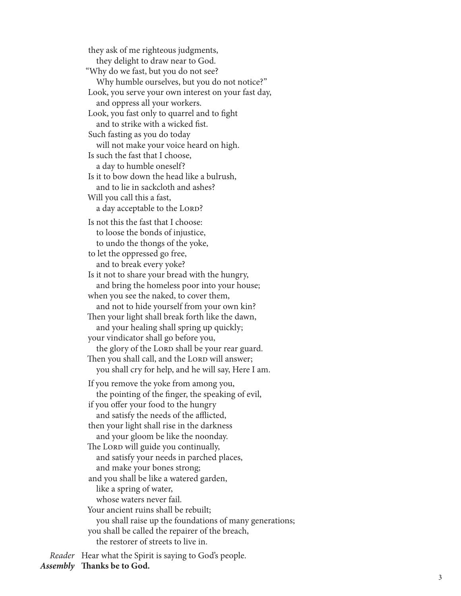they ask of me righteous judgments, they delight to draw near to God. "Why do we fast, but you do not see? Why humble ourselves, but you do not notice?" Look, you serve your own interest on your fast day, and oppress all your workers. Look, you fast only to quarrel and to fight and to strike with a wicked fist. Such fasting as you do today will not make your voice heard on high. Is such the fast that I choose, a day to humble oneself? Is it to bow down the head like a bulrush, and to lie in sackcloth and ashes? Will you call this a fast, a day acceptable to the LORD? Is not this the fast that I choose: to loose the bonds of injustice, to undo the thongs of the yoke, to let the oppressed go free, and to break every yoke? Is it not to share your bread with the hungry, and bring the homeless poor into your house; when you see the naked, to cover them, and not to hide yourself from your own kin? Then your light shall break forth like the dawn, and your healing shall spring up quickly; your vindicator shall go before you, the glory of the LORD shall be your rear guard. Then you shall call, and the LORD will answer; you shall cry for help, and he will say, Here I am. If you remove the yoke from among you, the pointing of the finger, the speaking of evil, if you offer your food to the hungry and satisfy the needs of the afflicted, then your light shall rise in the darkness and your gloom be like the noonday. The LORD will guide you continually, and satisfy your needs in parched places, and make your bones strong; and you shall be like a watered garden, like a spring of water, whose waters never fail. Your ancient ruins shall be rebuilt; you shall raise up the foundations of many generations; you shall be called the repairer of the breach, the restorer of streets to live in.

*Reader* Hear what the Spirit is saying to God's people.

*Assembly* **Thanks be to God.**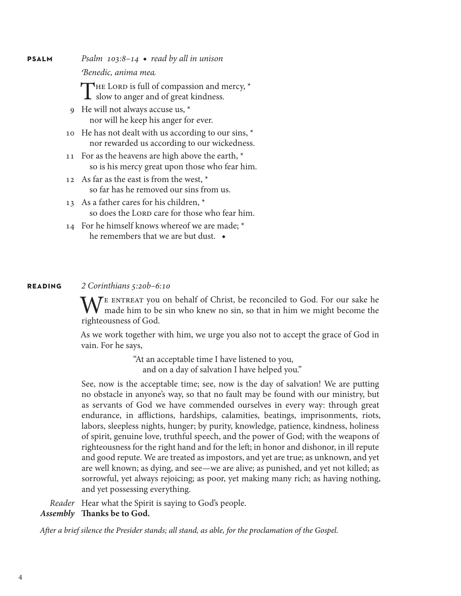**psalm** *Psalm 103:8–14* ◆ *read by all in unison*

*Benedic, anima mea*

THE LORD is full of compassion and mercy,  $*$ **L** slow to anger and of great kindness.

- 9 He will not always accuse us, \* nor will he keep his anger for ever.
- 10 He has not dealt with us according to our sins, \* nor rewarded us according to our wickedness.
- 11 For as the heavens are high above the earth,  $*$ so is his mercy great upon those who fear him.
- 12 As far as the east is from the west,  $*$ so far has he removed our sins from us.
- 13 As a father cares for his children, \* so does the LORD care for those who fear him.
- 14 For he himself knows whereof we are made; \* he remembers that we are but dust. ◆

### **reading** *2 Corinthians 5:20b–6:10*

WE ENTREAT you on behalf of Christ, be reconciled to God. For our sake he made him to be sin who knew no sin, so that in him we might become the six https:// righteousness of God.

As we work together with him, we urge you also not to accept the grace of God in vain. For he says,

> "At an acceptable time I have listened to you, and on a day of salvation I have helped you."

See, now is the acceptable time; see, now is the day of salvation! We are putting no obstacle in anyone's way, so that no fault may be found with our ministry, but as servants of God we have commended ourselves in every way: through great endurance, in afflictions, hardships, calamities, beatings, imprisonments, riots, labors, sleepless nights, hunger; by purity, knowledge, patience, kindness, holiness of spirit, genuine love, truthful speech, and the power of God; with the weapons of righteousness for the right hand and for the left; in honor and dishonor, in ill repute and good repute. We are treated as impostors, and yet are true; as unknown, and yet are well known; as dying, and see—we are alive; as punished, and yet not killed; as sorrowful, yet always rejoicing; as poor, yet making many rich; as having nothing, and yet possessing everything.

*Reader* Hear what the Spirit is saying to God's people.

*Assembly* **Thanks be to God.**

*After a brief silence the Presider stands; all stand, as able, for the proclamation of the Gospel.*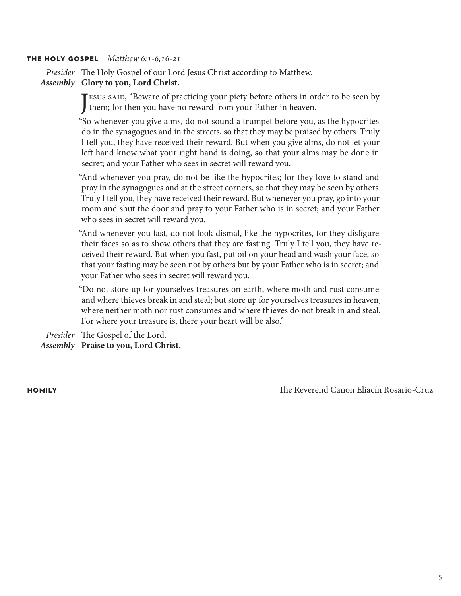### **the holy gospel** *Matthew 6:1-6,16-21*

*Presider* The Holy Gospel of our Lord Jesus Christ according to Matthew.

### *Assembly* **Glory to you, Lord Christ.**

J them; for then you have no reward from your Father in heaven. **ESUS SAID, "Beware of practicing your piety before others in order to be seen by** 

"So whenever you give alms, do not sound a trumpet before you, as the hypocrites do in the synagogues and in the streets, so that they may be praised by others. Truly I tell you, they have received their reward. But when you give alms, do not let your left hand know what your right hand is doing, so that your alms may be done in secret; and your Father who sees in secret will reward you.

"And whenever you pray, do not be like the hypocrites; for they love to stand and pray in the synagogues and at the street corners, so that they may be seen by others. Truly I tell you, they have received their reward. But whenever you pray, go into your room and shut the door and pray to your Father who is in secret; and your Father who sees in secret will reward you.

"And whenever you fast, do not look dismal, like the hypocrites, for they disfigure their faces so as to show others that they are fasting. Truly I tell you, they have received their reward. But when you fast, put oil on your head and wash your face, so that your fasting may be seen not by others but by your Father who is in secret; and your Father who sees in secret will reward you.

"Do not store up for yourselves treasures on earth, where moth and rust consume and where thieves break in and steal; but store up for yourselves treasures in heaven, where neither moth nor rust consumes and where thieves do not break in and steal. For where your treasure is, there your heart will be also."

*Presider* The Gospel of the Lord.

*Assembly* **Praise to you, Lord Christ.**

**homily** The Reverend Canon Eliacín Rosario-Cruz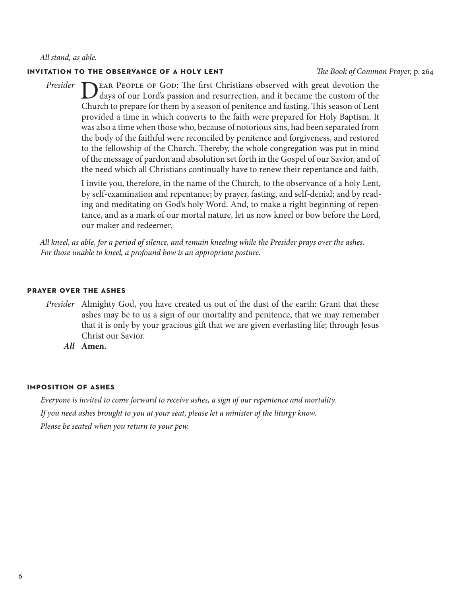*All stand, as able.*

### **invitation to the observance of a holy lent** *The Book of Common Prayer,* p. 264

DEAR PEOPLE OF GOD: The first Christians observed with great devotion the days of our Lord's passion and resurrection, and it became the custom of the Chand to an annual faction and deviation and faction This passes of Lat Church to prepare for them by a season of penitence and fasting. This season of Lent provided a time in which converts to the faith were prepared for Holy Baptism. It was also a time when those who, because of notorious sins, had been separated from the body of the faithful were reconciled by penitence and forgiveness, and restored to the fellowship of the Church. Thereby, the whole congregation was put in mind of the message of pardon and absolution set forth in the Gospel of our Savior, and of the need which all Christians continually have to renew their repentance and faith. *Presider*

> I invite you, therefore, in the name of the Church, to the observance of a holy Lent, by self-examination and repentance; by prayer, fasting, and self-denial; and by reading and meditating on God's holy Word. And, to make a right beginning of repentance, and as a mark of our mortal nature, let us now kneel or bow before the Lord, our maker and redeemer.

*All kneel, as able, for a period of silence, and remain kneeling while the Presider prays over the ashes. For those unable to kneel, a profound bow is an appropriate posture.*

### **prayer over the ashes**

- *Presider* Almighty God, you have created us out of the dust of the earth: Grant that these ashes may be to us a sign of our mortality and penitence, that we may remember that it is only by your gracious gift that we are given everlasting life; through Jesus Christ our Savior.
	- *All* **Amen.**

### **imposition of ashes**

*Everyone is invited to come forward to receive ashes, a sign of our repentence and mortality. If you need ashes brought to you at your seat, please let a minister of the liturgy know. Please be seated when you return to your pew.*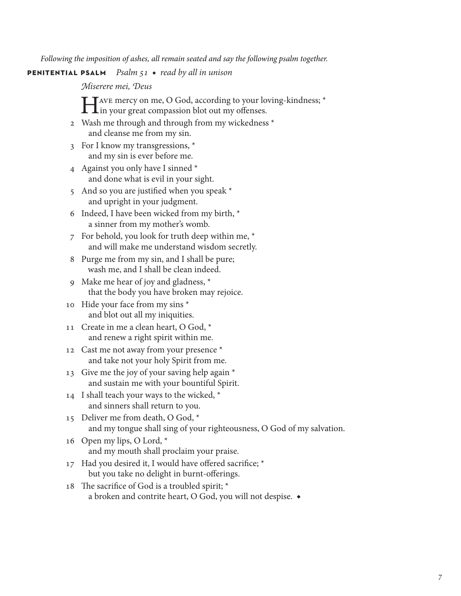*Following the imposition of ashes, all remain seated and say the following psalm together.*

**penitential psalm** *Psalm 51* ◆ *read by all in unison*

*Miserere mei, Deus*

TAVE mercy on me, O God, according to your loving-kindness; \* **L**in your great compassion blot out my offenses.

- 2 Wash me through and through from my wickedness \* and cleanse me from my sin.
- 3 For I know my transgressions, \* and my sin is ever before me.
- 4 Against you only have I sinned \* and done what is evil in your sight.
- 5 And so you are justified when you speak \* and upright in your judgment.
- 6 Indeed, I have been wicked from my birth, \* a sinner from my mother's womb.
- 7 For behold, you look for truth deep within me, \* and will make me understand wisdom secretly.
- 8 Purge me from my sin, and I shall be pure; wash me, and I shall be clean indeed.
- 9 Make me hear of joy and gladness, \* that the body you have broken may rejoice.
- 10 Hide your face from my sins \* and blot out all my iniquities.
- 11 Create in me a clean heart, O God,  $*$ and renew a right spirit within me.
- 12 Cast me not away from your presence \* and take not your holy Spirit from me.
- 13 Give me the joy of your saving help again \* and sustain me with your bountiful Spirit.
- 14 I shall teach your ways to the wicked,  $*$ and sinners shall return to you.
- 15 Deliver me from death, O God, \* and my tongue shall sing of your righteousness, O God of my salvation.
- 16 Open my lips, O Lord, \* and my mouth shall proclaim your praise.
- 17 Had you desired it, I would have offered sacrifice; \* but you take no delight in burnt-offerings.
- 18 The sacrifice of God is a troubled spirit; \* a broken and contrite heart, O God, you will not despise. ◆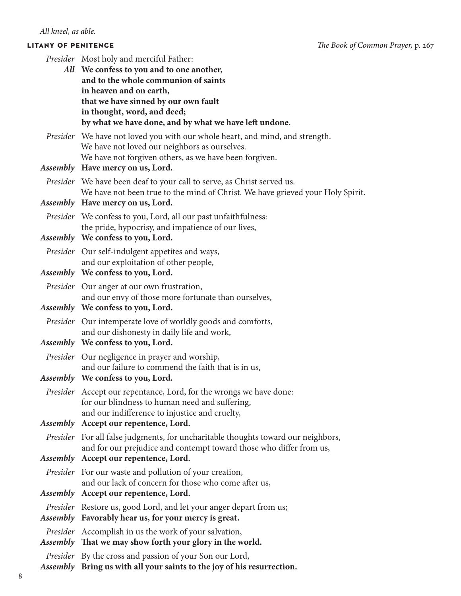| Presider Most holy and merciful Father:                                                                                                                  |
|----------------------------------------------------------------------------------------------------------------------------------------------------------|
| All We confess to you and to one another,<br>and to the whole communion of saints                                                                        |
| in heaven and on earth,                                                                                                                                  |
| that we have sinned by our own fault                                                                                                                     |
| in thought, word, and deed;                                                                                                                              |
| by what we have done, and by what we have left undone.                                                                                                   |
| Presider We have not loved you with our whole heart, and mind, and strength.<br>We have not loved our neighbors as ourselves.                            |
| We have not forgiven others, as we have been forgiven.<br>Assembly Have mercy on us, Lord.                                                               |
| Presider We have been deaf to your call to serve, as Christ served us.<br>We have not been true to the mind of Christ. We have grieved your Holy Spirit. |
| Assembly Have mercy on us, Lord.                                                                                                                         |
| <i>Presider</i> We confess to you, Lord, all our past unfaithfulness:<br>the pride, hypocrisy, and impatience of our lives,                              |
| Assembly We confess to you, Lord.                                                                                                                        |
| Presider Our self-indulgent appetites and ways,                                                                                                          |
| and our exploitation of other people,                                                                                                                    |
| Assembly We confess to you, Lord.                                                                                                                        |
| Presider Our anger at our own frustration,                                                                                                               |
| and our envy of those more fortunate than ourselves,<br>Assembly We confess to you, Lord.                                                                |
| Presider Our intemperate love of worldly goods and comforts,<br>and our dishonesty in daily life and work,                                               |
| Assembly We confess to you, Lord.                                                                                                                        |
| <i>Presider</i> Our negligence in prayer and worship,                                                                                                    |
| and our failure to commend the faith that is in us,<br>Assembly We confess to you, Lord.                                                                 |
|                                                                                                                                                          |
| Presider Accept our repentance, Lord, for the wrongs we have done:<br>for our blindness to human need and suffering,                                     |
| and our indifference to injustice and cruelty,                                                                                                           |
| Assembly Accept our repentence, Lord.                                                                                                                    |
| Presider For all false judgments, for uncharitable thoughts toward our neighbors,                                                                        |
| and for our prejudice and contempt toward those who differ from us,                                                                                      |
| Assembly Accept our repentence, Lord.                                                                                                                    |
| Presider For our waste and pollution of your creation,<br>and our lack of concern for those who come after us,                                           |
| Assembly Accept our repentence, Lord.                                                                                                                    |
| <i>Presider</i> Restore us, good Lord, and let your anger depart from us;                                                                                |
| Assembly Favorably hear us, for your mercy is great.                                                                                                     |
| Presider Accomplish in us the work of your salvation,                                                                                                    |
| Assembly That we may show forth your glory in the world.                                                                                                 |
| Presider By the cross and passion of your Son our Lord,                                                                                                  |
| Assembly Bring us with all your saints to the joy of his resurrection.                                                                                   |

8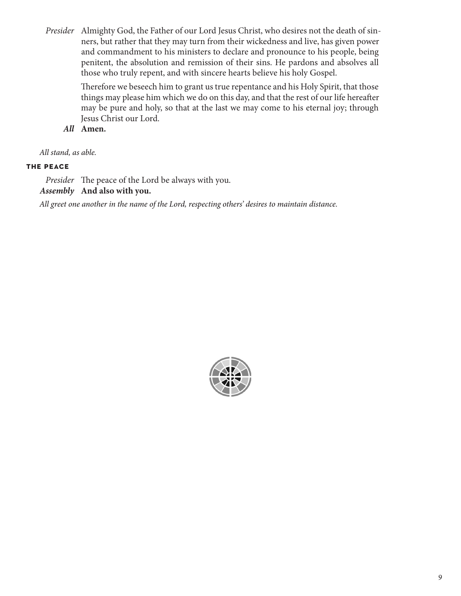*Presider* Almighty God, the Father of our Lord Jesus Christ, who desires not the death of sinners, but rather that they may turn from their wickedness and live, has given power and commandment to his ministers to declare and pronounce to his people, being penitent, the absolution and remission of their sins. He pardons and absolves all those who truly repent, and with sincere hearts believe his holy Gospel.

> Therefore we beseech him to grant us true repentance and his Holy Spirit, that those things may please him which we do on this day, and that the rest of our life hereafter may be pure and holy, so that at the last we may come to his eternal joy; through Jesus Christ our Lord.

*All* **Amen.**

*All stand, as able.*

### **the peace**

*Presider* The peace of the Lord be always with you.

*Assembly* **And also with you.**

*All greet one another in the name of the Lord, respecting others' desires to maintain distance.*

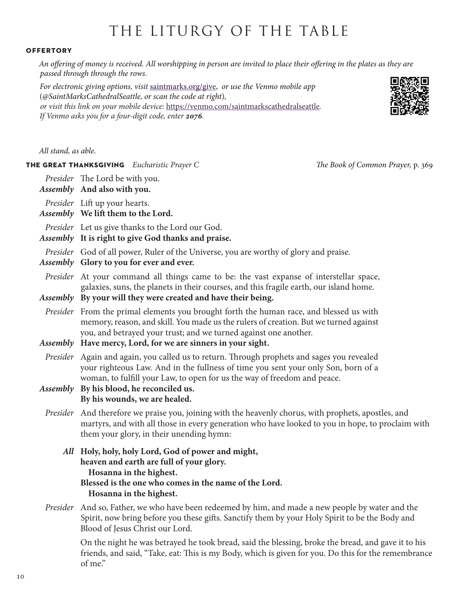## THE LITURGY OF THE TABLE

### **offertory**

*An offering of money is received. All worshipping in person are invited to place their offering in the plates as they are passed through through the rows.* 

*For electronic giving options, visit* saintmarks.org/give, *or use the Venmo mobile app*  (*@SaintMarksCathedralSeattle, or scan the code at right*)*, or visit this link on your mobile device:* https://venmo.com/saintmarkscathedralseattle*. If Venmo asks you for a four-digit code, enter 2076.*



*All stand, as able.* 

**the great thanksgiving** *Eucharistic Prayer C The Book of Common Prayer,* p. 369

*Presider* The Lord be with you.

*Assembly* **And also with you.**

*Presider* Lift up your hearts.

*Assembly* **We lift them to the Lord.**

*Presider* Let us give thanks to the Lord our God.

*Assembly* **It is right to give God thanks and praise.** 

*Presider* God of all power, Ruler of the Universe, you are worthy of glory and praise.

```
Assembly Glory to you for ever and ever.
```
*Presider* At your command all things came to be: the vast expanse of interstellar space, galaxies, suns, the planets in their courses, and this fragile earth, our island home.

```
Assembly By your will they were created and have their being.
```
- *Presider* From the primal elements you brought forth the human race, and blessed us with memory, reason, and skill. You made us the rulers of creation. But we turned against you, and betrayed your trust; and we turned against one another.
- *Assembly* **Have mercy, Lord, for we are sinners in your sight.**
- *Presider* Again and again, you called us to return. Through prophets and sages you revealed your righteous Law. And in the fullness of time you sent your only Son, born of a woman, to fulfill your Law, to open for us the way of freedom and peace.

*Assembly* **By his blood, he reconciled us. By his wounds, we are healed.**

- *Presider* And therefore we praise you, joining with the heavenly chorus, with prophets, apostles, and martyrs, and with all those in every generation who have looked to you in hope, to proclaim with them your glory, in their unending hymn:
	- *All* **Holy, holy, holy Lord, God of power and might, heaven and earth are full of your glory. Hosanna in the highest. Blessed is the one who comes in the name of the Lord. Hosanna in the highest.**
- *Presider* And so, Father, we who have been redeemed by him, and made a new people by water and the Spirit, now bring before you these gifts. Sanctify them by your Holy Spirit to be the Body and Blood of Jesus Christ our Lord.

On the night he was betrayed he took bread, said the blessing, broke the bread, and gave it to his friends, and said, "Take, eat: This is my Body, which is given for you. Do this for the remembrance of me."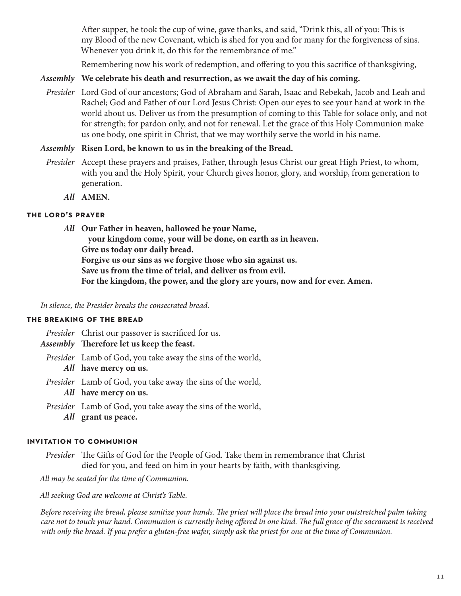After supper, he took the cup of wine, gave thanks, and said, "Drink this, all of you: This is my Blood of the new Covenant, which is shed for you and for many for the forgiveness of sins. Whenever you drink it, do this for the remembrance of me."

Remembering now his work of redemption, and offering to you this sacrifice of thanksgiving,

### *Assembly* **We celebrate his death and resurrection, as we await the day of his coming.**

*Presider* Lord God of our ancestors; God of Abraham and Sarah, Isaac and Rebekah, Jacob and Leah and Rachel; God and Father of our Lord Jesus Christ: Open our eyes to see your hand at work in the world about us. Deliver us from the presumption of coming to this Table for solace only, and not for strength; for pardon only, and not for renewal. Let the grace of this Holy Communion make us one body, one spirit in Christ, that we may worthily serve the world in his name.

### *Assembly* **Risen Lord, be known to us in the breaking of the Bread.**

- *Presider* Accept these prayers and praises, Father, through Jesus Christ our great High Priest, to whom, with you and the Holy Spirit, your Church gives honor, glory, and worship, from generation to generation.
	- *All* **AMEN.**

### **the lord's prayer**

*All* **Our Father in heaven, hallowed be your Name,** 

**your kingdom come, your will be done, on earth as in heaven. Give us today our daily bread. Forgive us our sins as we forgive those who sin against us. Save us from the time of trial, and deliver us from evil. For the kingdom, the power, and the glory are yours, now and for ever. Amen.**

*In silence, the Presider breaks the consecrated bread.*

### **the breaking of the bread**

*Presider* Christ our passover is sacrificed for us.

- *Assembly* **Therefore let us keep the feast.**
	- *Presider* Lamb of God, you take away the sins of the world, *All* **have mercy on us.**
	- *Presider* Lamb of God, you take away the sins of the world,
		- *All* **have mercy on us.**
	- *Presider* Lamb of God, you take away the sins of the world, *All* **grant us peace.**

### **invitation to communion**

*Presider* The Gifts of God for the People of God. Take them in remembrance that Christ died for you, and feed on him in your hearts by faith, with thanksgiving.

*All may be seated for the time of Communion.* 

*All seeking God are welcome at Christ's Table.* 

*Before receiving the bread, please sanitize your hands. The priest will place the bread into your outstretched palm taking care not to touch your hand. Communion is currently being offered in one kind. The full grace of the sacrament is received with only the bread. If you prefer a gluten-free wafer, simply ask the priest for one at the time of Communion.*